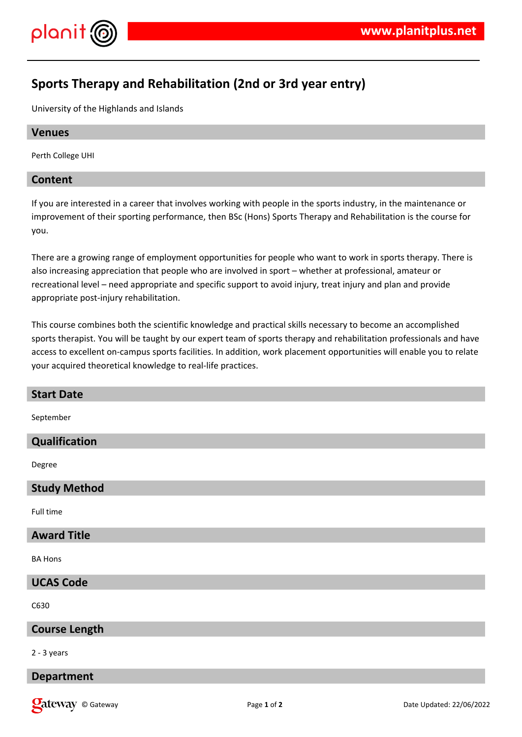

# **Sports Therapy and Rehabilitation (2nd or 3rd year entry)**

University of the Highlands and Islands

## **Venues**

Perth College UHI

# **Content**

If you are interested in a career that involves working with people in the sports industry, in the maintenance or improvement of their sporting performance, then BSc (Hons) Sports Therapy and Rehabilitation is the course for you.

There are a growing range of employment opportunities for people who want to work in sports therapy. There is also increasing appreciation that people who are involved in sport – whether at professional, amateur or recreational level – need appropriate and specific support to avoid injury, treat injury and plan and provide appropriate post-injury rehabilitation.

This course combines both the scientific knowledge and practical skills necessary to become an accomplished sports therapist. You will be taught by our expert team of sports therapy and rehabilitation professionals and have access to excellent on-campus sports facilities. In addition, work placement opportunities will enable you to relate your acquired theoretical knowledge to real-life practices.

| <b>Start Date</b>    |
|----------------------|
| September            |
| Qualification        |
| Degree               |
| <b>Study Method</b>  |
| Full time            |
| <b>Award Title</b>   |
| <b>BA Hons</b>       |
| <b>UCAS Code</b>     |
| C630                 |
| <b>Course Length</b> |
| $2 - 3$ years        |
| <b>Department</b>    |